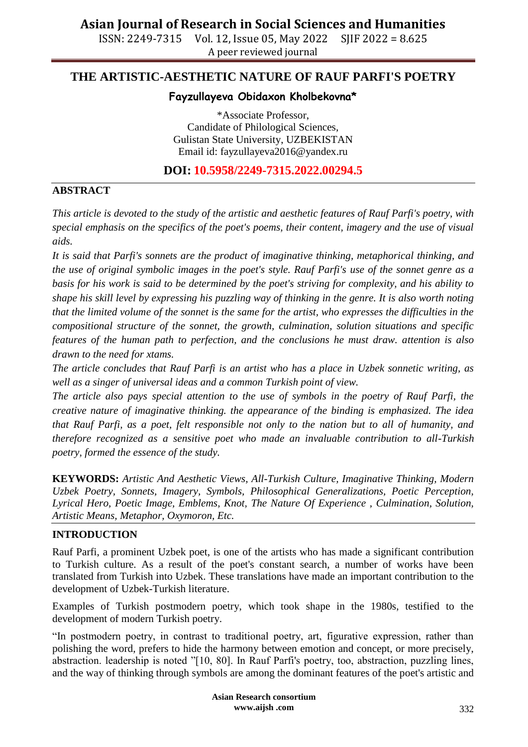ISSN: 2249-7315 Vol. 12, Issue 05, May 2022 SJIF 2022 = 8.625 A peer reviewed journal

## **THE ARTISTIC-AESTHETIC NATURE OF RAUF PARFI'S POETRY**

### **Fayzullayeva Obidaxon Kholbekovna\***

\*Associate Professor, Candidate of Philological Sciences, Gulistan State University, UZBEKISTAN Email id: [fayzullayeva2016@yandex.ru](mailto:fayzullayeva2016@yandex.ru)

**DOI: 10.5958/2249-7315.2022.00294.5**

### **ABSTRACT**

*This article is devoted to the study of the artistic and aesthetic features of Rauf Parfi's poetry, with special emphasis on the specifics of the poet's poems, their content, imagery and the use of visual aids.*

*It is said that Parfi's sonnets are the product of imaginative thinking, metaphorical thinking, and the use of original symbolic images in the poet's style. Rauf Parfi's use of the sonnet genre as a basis for his work is said to be determined by the poet's striving for complexity, and his ability to shape his skill level by expressing his puzzling way of thinking in the genre. It is also worth noting that the limited volume of the sonnet is the same for the artist, who expresses the difficulties in the compositional structure of the sonnet, the growth, culmination, solution situations and specific features of the human path to perfection, and the conclusions he must draw. attention is also drawn to the need for xtams.*

*The article concludes that Rauf Parfi is an artist who has a place in Uzbek sonnetic writing, as well as a singer of universal ideas and a common Turkish point of view.*

*The article also pays special attention to the use of symbols in the poetry of Rauf Parfi, the creative nature of imaginative thinking. the appearance of the binding is emphasized. The idea that Rauf Parfi, as a poet, felt responsible not only to the nation but to all of humanity, and therefore recognized as a sensitive poet who made an invaluable contribution to all-Turkish poetry, formed the essence of the study.*

**KEYWORDS:** *Artistic And Aesthetic Views, All-Turkish Culture, Imaginative Thinking, Modern Uzbek Poetry, Sonnets, Imagery, Symbols, Philosophical Generalizations, Poetic Perception, Lyrical Hero, Poetic Image, Emblems, Knot, The Nature Of Experience , Culmination, Solution, Artistic Means, Metaphor, Oxymoron, Etc.*

### **INTRODUCTION**

Rauf Parfi, a prominent Uzbek poet, is one of the artists who has made a significant contribution to Turkish culture. As a result of the poet's constant search, a number of works have been translated from Turkish into Uzbek. These translations have made an important contribution to the development of Uzbek-Turkish literature.

Examples of Turkish postmodern poetry, which took shape in the 1980s, testified to the development of modern Turkish poetry.

"In postmodern poetry, in contrast to traditional poetry, art, figurative expression, rather than polishing the word, prefers to hide the harmony between emotion and concept, or more precisely, abstraction. leadership is noted "[10, 80]. In Rauf Parfi's poetry, too, abstraction, puzzling lines, and the way of thinking through symbols are among the dominant features of the poet's artistic and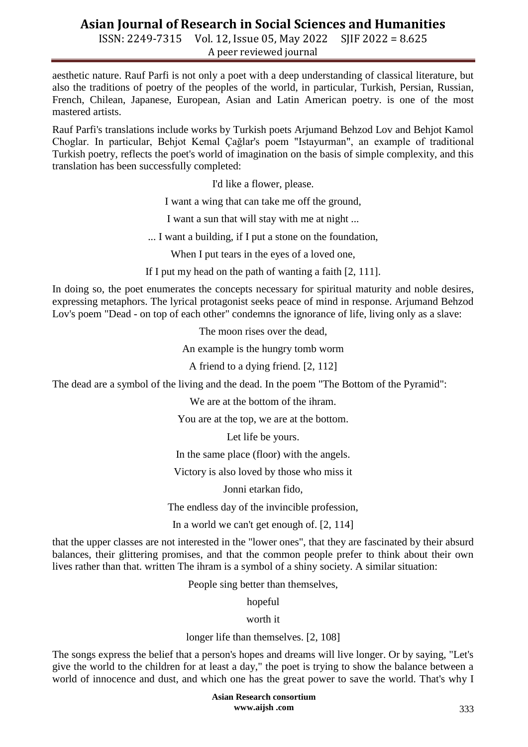ISSN: 2249-7315 Vol. 12, Issue 05, May 2022 SJIF 2022 = 8.625 A peer reviewed journal

aesthetic nature. Rauf Parfi is not only a poet with a deep understanding of classical literature, but also the traditions of poetry of the peoples of the world, in particular, Turkish, Persian, Russian, French, Chilean, Japanese, European, Asian and Latin American poetry. is one of the most mastered artists.

Rauf Parfi's translations include works by Turkish poets Arjumand Behzod Lov and Behjot Kamol Choglar. In particular, Behjot Kemal Çağlar's poem "Istayurman", an example of traditional Turkish poetry, reflects the poet's world of imagination on the basis of simple complexity, and this translation has been successfully completed:

I'd like a flower, please.

I want a wing that can take me off the ground,

I want a sun that will stay with me at night ...

... I want a building, if I put a stone on the foundation,

When I put tears in the eyes of a loved one,

If I put my head on the path of wanting a faith [2, 111].

In doing so, the poet enumerates the concepts necessary for spiritual maturity and noble desires, expressing metaphors. The lyrical protagonist seeks peace of mind in response. Arjumand Behzod Lov's poem "Dead - on top of each other" condemns the ignorance of life, living only as a slave:

The moon rises over the dead,

An example is the hungry tomb worm

A friend to a dying friend. [2, 112]

The dead are a symbol of the living and the dead. In the poem "The Bottom of the Pyramid":

We are at the bottom of the ihram.

You are at the top, we are at the bottom.

Let life be yours.

In the same place (floor) with the angels.

Victory is also loved by those who miss it

Jonni etarkan fido,

The endless day of the invincible profession,

In a world we can't get enough of. [2, 114]

that the upper classes are not interested in the "lower ones", that they are fascinated by their absurd balances, their glittering promises, and that the common people prefer to think about their own lives rather than that. written The ihram is a symbol of a shiny society. A similar situation:

People sing better than themselves,

hopeful

worth it

longer life than themselves. [2, 108]

The songs express the belief that a person's hopes and dreams will live longer. Or by saying, "Let's give the world to the children for at least a day," the poet is trying to show the balance between a world of innocence and dust, and which one has the great power to save the world. That's why I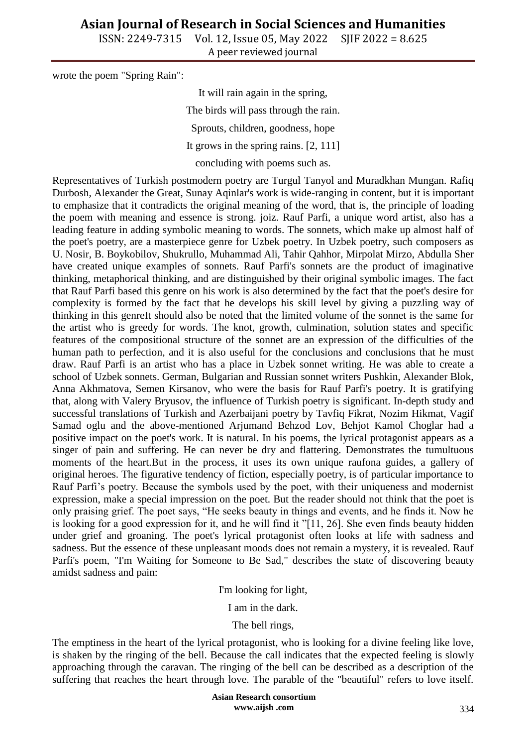ISSN: 2249-7315 Vol. 12, Issue 05, May 2022 SJIF 2022 = 8.625 A peer reviewed journal

wrote the poem "Spring Rain":

It will rain again in the spring, The birds will pass through the rain. Sprouts, children, goodness, hope It grows in the spring rains. [2, 111] concluding with poems such as.

Representatives of Turkish postmodern poetry are Turgul Tanyol and Muradkhan Mungan. Rafiq Durbosh, Alexander the Great, Sunay Aqinlar's work is wide-ranging in content, but it is important to emphasize that it contradicts the original meaning of the word, that is, the principle of loading the poem with meaning and essence is strong. joiz. Rauf Parfi, a unique word artist, also has a leading feature in adding symbolic meaning to words. The sonnets, which make up almost half of the poet's poetry, are a masterpiece genre for Uzbek poetry. In Uzbek poetry, such composers as U. Nosir, B. Boykobilov, Shukrullo, Muhammad Ali, Tahir Qahhor, Mirpolat Mirzo, Abdulla Sher have created unique examples of sonnets. Rauf Parfi's sonnets are the product of imaginative thinking, metaphorical thinking, and are distinguished by their original symbolic images. The fact that Rauf Parfi based this genre on his work is also determined by the fact that the poet's desire for complexity is formed by the fact that he develops his skill level by giving a puzzling way of thinking in this genreIt should also be noted that the limited volume of the sonnet is the same for the artist who is greedy for words. The knot, growth, culmination, solution states and specific features of the compositional structure of the sonnet are an expression of the difficulties of the human path to perfection, and it is also useful for the conclusions and conclusions that he must draw. Rauf Parfi is an artist who has a place in Uzbek sonnet writing. He was able to create a school of Uzbek sonnets. German, Bulgarian and Russian sonnet writers Pushkin, Alexander Blok, Anna Akhmatova, Semen Kirsanov, who were the basis for Rauf Parfi's poetry. It is gratifying that, along with Valery Bryusov, the influence of Turkish poetry is significant. In-depth study and successful translations of Turkish and Azerbaijani poetry by Tavfiq Fikrat, Nozim Hikmat, Vagif Samad oglu and the above-mentioned Arjumand Behzod Lov, Behjot Kamol Choglar had a positive impact on the poet's work. It is natural. In his poems, the lyrical protagonist appears as a singer of pain and suffering. He can never be dry and flattering. Demonstrates the tumultuous moments of the heart.But in the process, it uses its own unique raufona guides, a gallery of original heroes. The figurative tendency of fiction, especially poetry, is of particular importance to Rauf Parfi"s poetry. Because the symbols used by the poet, with their uniqueness and modernist expression, make a special impression on the poet. But the reader should not think that the poet is only praising grief. The poet says, "He seeks beauty in things and events, and he finds it. Now he is looking for a good expression for it, and he will find it "[11, 26]. She even finds beauty hidden under grief and groaning. The poet's lyrical protagonist often looks at life with sadness and sadness. But the essence of these unpleasant moods does not remain a mystery, it is revealed. Rauf Parfi's poem, "I'm Waiting for Someone to Be Sad," describes the state of discovering beauty amidst sadness and pain:

I'm looking for light,

I am in the dark.

The bell rings,

The emptiness in the heart of the lyrical protagonist, who is looking for a divine feeling like love, is shaken by the ringing of the bell. Because the call indicates that the expected feeling is slowly approaching through the caravan. The ringing of the bell can be described as a description of the suffering that reaches the heart through love. The parable of the "beautiful" refers to love itself.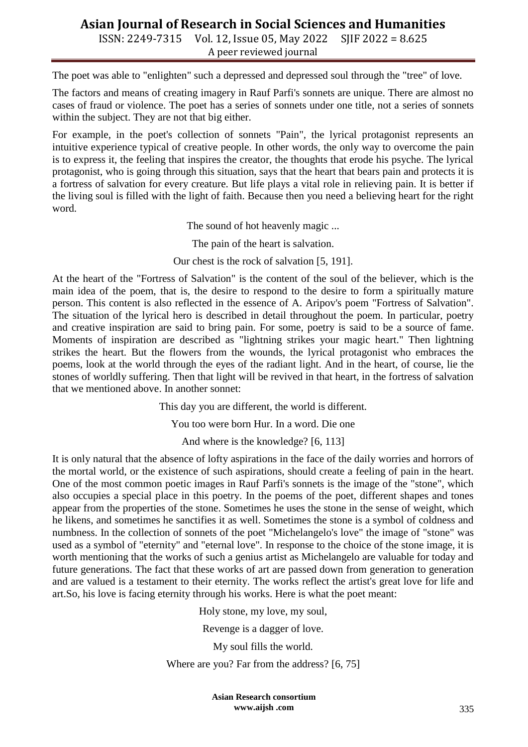ISSN: 2249-7315 Vol. 12, Issue 05, May 2022 SJIF 2022 = 8.625 A peer reviewed journal

The poet was able to "enlighten" such a depressed and depressed soul through the "tree" of love.

The factors and means of creating imagery in Rauf Parfi's sonnets are unique. There are almost no cases of fraud or violence. The poet has a series of sonnets under one title, not a series of sonnets within the subject. They are not that big either.

For example, in the poet's collection of sonnets "Pain", the lyrical protagonist represents an intuitive experience typical of creative people. In other words, the only way to overcome the pain is to express it, the feeling that inspires the creator, the thoughts that erode his psyche. The lyrical protagonist, who is going through this situation, says that the heart that bears pain and protects it is a fortress of salvation for every creature. But life plays a vital role in relieving pain. It is better if the living soul is filled with the light of faith. Because then you need a believing heart for the right word.

The sound of hot heavenly magic ...

The pain of the heart is salvation.

Our chest is the rock of salvation [5, 191].

At the heart of the "Fortress of Salvation" is the content of the soul of the believer, which is the main idea of the poem, that is, the desire to respond to the desire to form a spiritually mature person. This content is also reflected in the essence of A. Aripov's poem "Fortress of Salvation". The situation of the lyrical hero is described in detail throughout the poem. In particular, poetry and creative inspiration are said to bring pain. For some, poetry is said to be a source of fame. Moments of inspiration are described as "lightning strikes your magic heart." Then lightning strikes the heart. But the flowers from the wounds, the lyrical protagonist who embraces the poems, look at the world through the eyes of the radiant light. And in the heart, of course, lie the stones of worldly suffering. Then that light will be revived in that heart, in the fortress of salvation that we mentioned above. In another sonnet:

This day you are different, the world is different.

You too were born Hur. In a word. Die one

And where is the knowledge? [6, 113]

It is only natural that the absence of lofty aspirations in the face of the daily worries and horrors of the mortal world, or the existence of such aspirations, should create a feeling of pain in the heart. One of the most common poetic images in Rauf Parfi's sonnets is the image of the "stone", which also occupies a special place in this poetry. In the poems of the poet, different shapes and tones appear from the properties of the stone. Sometimes he uses the stone in the sense of weight, which he likens, and sometimes he sanctifies it as well. Sometimes the stone is a symbol of coldness and numbness. In the collection of sonnets of the poet "Michelangelo's love" the image of "stone" was used as a symbol of "eternity" and "eternal love". In response to the choice of the stone image, it is worth mentioning that the works of such a genius artist as Michelangelo are valuable for today and future generations. The fact that these works of art are passed down from generation to generation and are valued is a testament to their eternity. The works reflect the artist's great love for life and art.So, his love is facing eternity through his works. Here is what the poet meant:

Holy stone, my love, my soul,

Revenge is a dagger of love.

My soul fills the world.

Where are you? Far from the address? [6, 75]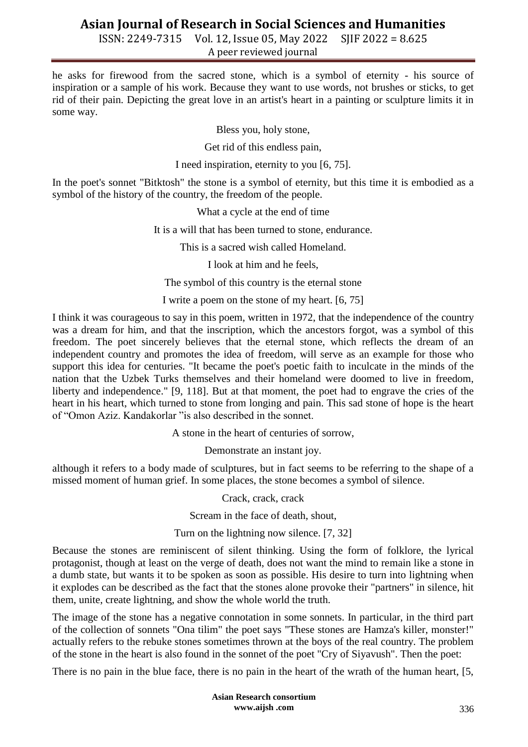ISSN: 2249-7315 Vol. 12, Issue 05, May 2022 SJIF 2022 = 8.625 A peer reviewed journal

he asks for firewood from the sacred stone, which is a symbol of eternity - his source of inspiration or a sample of his work. Because they want to use words, not brushes or sticks, to get rid of their pain. Depicting the great love in an artist's heart in a painting or sculpture limits it in some way.

Bless you, holy stone,

Get rid of this endless pain,

I need inspiration, eternity to you [6, 75].

In the poet's sonnet "Bitktosh" the stone is a symbol of eternity, but this time it is embodied as a symbol of the history of the country, the freedom of the people.

What a cycle at the end of time

It is a will that has been turned to stone, endurance.

This is a sacred wish called Homeland.

I look at him and he feels,

The symbol of this country is the eternal stone

I write a poem on the stone of my heart. [6, 75]

I think it was courageous to say in this poem, written in 1972, that the independence of the country was a dream for him, and that the inscription, which the ancestors forgot, was a symbol of this freedom. The poet sincerely believes that the eternal stone, which reflects the dream of an independent country and promotes the idea of freedom, will serve as an example for those who support this idea for centuries. "It became the poet's poetic faith to inculcate in the minds of the nation that the Uzbek Turks themselves and their homeland were doomed to live in freedom, liberty and independence." [9, 118]. But at that moment, the poet had to engrave the cries of the heart in his heart, which turned to stone from longing and pain. This sad stone of hope is the heart of "Omon Aziz. Kandakorlar "is also described in the sonnet.

A stone in the heart of centuries of sorrow,

Demonstrate an instant joy.

although it refers to a body made of sculptures, but in fact seems to be referring to the shape of a missed moment of human grief. In some places, the stone becomes a symbol of silence.

Crack, crack, crack

Scream in the face of death, shout,

Turn on the lightning now silence. [7, 32]

Because the stones are reminiscent of silent thinking. Using the form of folklore, the lyrical protagonist, though at least on the verge of death, does not want the mind to remain like a stone in a dumb state, but wants it to be spoken as soon as possible. His desire to turn into lightning when it explodes can be described as the fact that the stones alone provoke their "partners" in silence, hit them, unite, create lightning, and show the whole world the truth.

The image of the stone has a negative connotation in some sonnets. In particular, in the third part of the collection of sonnets "Ona tilim" the poet says "These stones are Hamza's killer, monster!" actually refers to the rebuke stones sometimes thrown at the boys of the real country. The problem of the stone in the heart is also found in the sonnet of the poet "Cry of Siyavush". Then the poet:

There is no pain in the blue face, there is no pain in the heart of the wrath of the human heart, [5,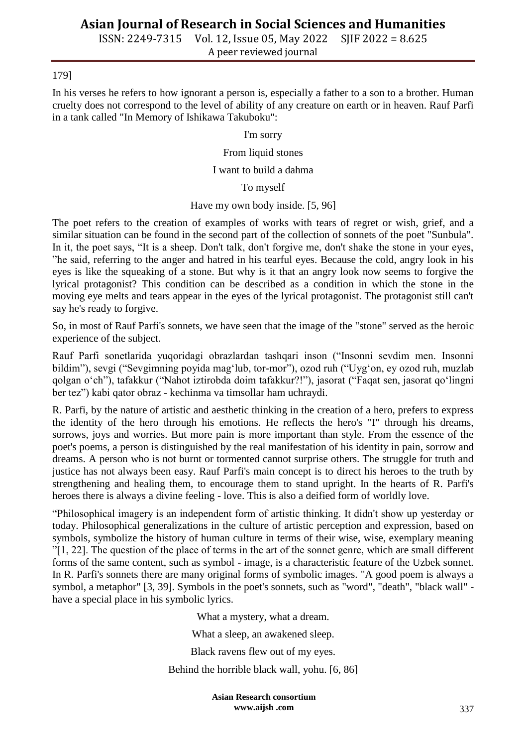ISSN: 2249-7315 Vol. 12, Issue 05, May 2022 SJIF 2022 = 8.625 A peer reviewed journal

#### 179]

In his verses he refers to how ignorant a person is, especially a father to a son to a brother. Human cruelty does not correspond to the level of ability of any creature on earth or in heaven. Rauf Parfi in a tank called "In Memory of Ishikawa Takuboku":

#### I'm sorry

#### From liquid stones

#### I want to build a dahma

#### To myself

#### Have my own body inside. [5, 96]

The poet refers to the creation of examples of works with tears of regret or wish, grief, and a similar situation can be found in the second part of the collection of sonnets of the poet "Sunbula". In it, the poet says, "It is a sheep. Don't talk, don't forgive me, don't shake the stone in your eyes, "he said, referring to the anger and hatred in his tearful eyes. Because the cold, angry look in his eyes is like the squeaking of a stone. But why is it that an angry look now seems to forgive the lyrical protagonist? This condition can be described as a condition in which the stone in the moving eye melts and tears appear in the eyes of the lyrical protagonist. The protagonist still can't say he's ready to forgive.

So, in most of Rauf Parfi's sonnets, we have seen that the image of the "stone" served as the heroic experience of the subject.

Rauf Parfi sonetlarida yuqoridagi obrazlardan tashqari inson ("Insonni sevdim men. Insonni bildim"), sevgi ("Sevgimning poyida mag"lub, tor-mor"), ozod ruh ("Uyg"on, ey ozod ruh, muzlab qolgan o"ch"), tafakkur ("Nahot iztirobda doim tafakkur?!"), jasorat ("Faqat sen, jasorat qo"lingni ber tez") kabi qator obraz - kechinma va timsollar ham uchraydi.

R. Parfi, by the nature of artistic and aesthetic thinking in the creation of a hero, prefers to express the identity of the hero through his emotions. He reflects the hero's "I" through his dreams, sorrows, joys and worries. But more pain is more important than style. From the essence of the poet's poems, a person is distinguished by the real manifestation of his identity in pain, sorrow and dreams. A person who is not burnt or tormented cannot surprise others. The struggle for truth and justice has not always been easy. Rauf Parfi's main concept is to direct his heroes to the truth by strengthening and healing them, to encourage them to stand upright. In the hearts of R. Parfi's heroes there is always a divine feeling - love. This is also a deified form of worldly love.

"Philosophical imagery is an independent form of artistic thinking. It didn't show up yesterday or today. Philosophical generalizations in the culture of artistic perception and expression, based on symbols, symbolize the history of human culture in terms of their wise, wise, exemplary meaning "[1, 22]. The question of the place of terms in the art of the sonnet genre, which are small different forms of the same content, such as symbol - image, is a characteristic feature of the Uzbek sonnet. In R. Parfi's sonnets there are many original forms of symbolic images. "A good poem is always a symbol, a metaphor" [3, 39]. Symbols in the poet's sonnets, such as "word", "death", "black wall" have a special place in his symbolic lyrics.

What a mystery, what a dream.

What a sleep, an awakened sleep.

Black ravens flew out of my eyes.

Behind the horrible black wall, yohu. [6, 86]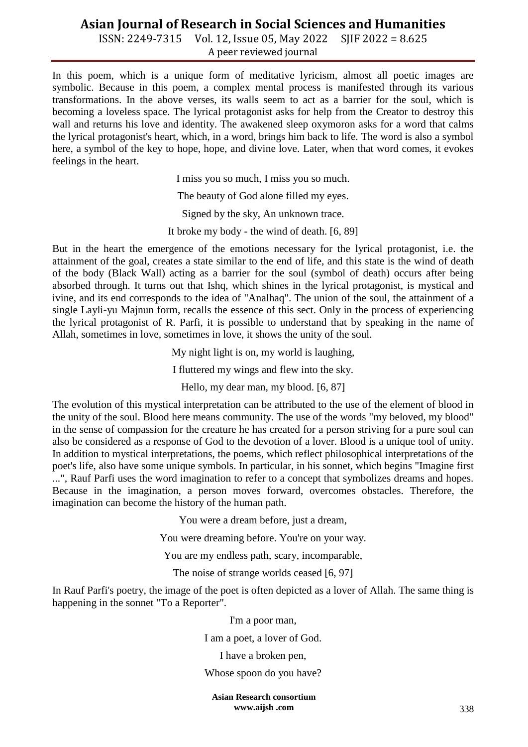ISSN: 2249-7315 Vol. 12, Issue 05, May 2022 SJIF 2022 = 8.625 A peer reviewed journal

In this poem, which is a unique form of meditative lyricism, almost all poetic images are symbolic. Because in this poem, a complex mental process is manifested through its various transformations. In the above verses, its walls seem to act as a barrier for the soul, which is becoming a loveless space. The lyrical protagonist asks for help from the Creator to destroy this wall and returns his love and identity. The awakened sleep oxymoron asks for a word that calms the lyrical protagonist's heart, which, in a word, brings him back to life. The word is also a symbol here, a symbol of the key to hope, hope, and divine love. Later, when that word comes, it evokes feelings in the heart.

I miss you so much, I miss you so much.

The beauty of God alone filled my eyes.

Signed by the sky, An unknown trace.

It broke my body - the wind of death. [6, 89]

But in the heart the emergence of the emotions necessary for the lyrical protagonist, i.e. the attainment of the goal, creates a state similar to the end of life, and this state is the wind of death of the body (Black Wall) acting as a barrier for the soul (symbol of death) occurs after being absorbed through. It turns out that Ishq, which shines in the lyrical protagonist, is mystical and ivine, and its end corresponds to the idea of "Analhaq". The union of the soul, the attainment of a single Layli-yu Majnun form, recalls the essence of this sect. Only in the process of experiencing the lyrical protagonist of R. Parfi, it is possible to understand that by speaking in the name of Allah, sometimes in love, sometimes in love, it shows the unity of the soul.

My night light is on, my world is laughing,

I fluttered my wings and flew into the sky.

Hello, my dear man, my blood. [6, 87]

The evolution of this mystical interpretation can be attributed to the use of the element of blood in the unity of the soul. Blood here means community. The use of the words "my beloved, my blood" in the sense of compassion for the creature he has created for a person striving for a pure soul can also be considered as a response of God to the devotion of a lover. Blood is a unique tool of unity. In addition to mystical interpretations, the poems, which reflect philosophical interpretations of the poet's life, also have some unique symbols. In particular, in his sonnet, which begins "Imagine first ...", Rauf Parfi uses the word imagination to refer to a concept that symbolizes dreams and hopes. Because in the imagination, a person moves forward, overcomes obstacles. Therefore, the imagination can become the history of the human path.

You were a dream before, just a dream,

You were dreaming before. You're on your way.

You are my endless path, scary, incomparable,

The noise of strange worlds ceased [6, 97]

In Rauf Parfi's poetry, the image of the poet is often depicted as a lover of Allah. The same thing is happening in the sonnet "To a Reporter".

> I'm a poor man, I am a poet, a lover of God.

> > I have a broken pen,

#### Whose spoon do you have?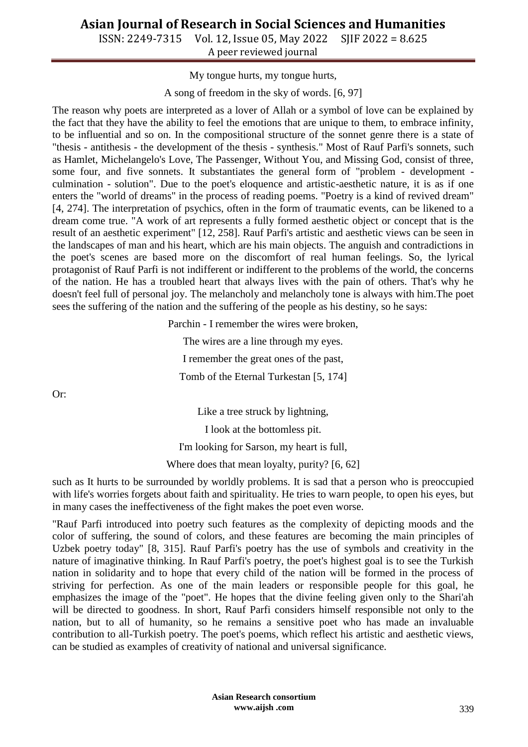ISSN: 2249-7315 Vol. 12, Issue 05, May 2022 SJIF 2022 = 8.625 A peer reviewed journal

My tongue hurts, my tongue hurts,

A song of freedom in the sky of words. [6, 97]

The reason why poets are interpreted as a lover of Allah or a symbol of love can be explained by the fact that they have the ability to feel the emotions that are unique to them, to embrace infinity, to be influential and so on. In the compositional structure of the sonnet genre there is a state of "thesis - antithesis - the development of the thesis - synthesis." Most of Rauf Parfi's sonnets, such as Hamlet, Michelangelo's Love, The Passenger, Without You, and Missing God, consist of three, some four, and five sonnets. It substantiates the general form of "problem - development culmination - solution". Due to the poet's eloquence and artistic-aesthetic nature, it is as if one enters the "world of dreams" in the process of reading poems. "Poetry is a kind of revived dream" [4, 274]. The interpretation of psychics, often in the form of traumatic events, can be likened to a dream come true. "A work of art represents a fully formed aesthetic object or concept that is the result of an aesthetic experiment" [12, 258]. Rauf Parfi's artistic and aesthetic views can be seen in the landscapes of man and his heart, which are his main objects. The anguish and contradictions in the poet's scenes are based more on the discomfort of real human feelings. So, the lyrical protagonist of Rauf Parfi is not indifferent or indifferent to the problems of the world, the concerns of the nation. He has a troubled heart that always lives with the pain of others. That's why he doesn't feel full of personal joy. The melancholy and melancholy tone is always with him.The poet sees the suffering of the nation and the suffering of the people as his destiny, so he says:

Parchin - I remember the wires were broken,

The wires are a line through my eyes. I remember the great ones of the past, Tomb of the Eternal Turkestan [5, 174]

Or:

Like a tree struck by lightning,

I look at the bottomless pit.

I'm looking for Sarson, my heart is full,

Where does that mean loyalty, purity? [6, 62]

such as It hurts to be surrounded by worldly problems. It is sad that a person who is preoccupied with life's worries forgets about faith and spirituality. He tries to warn people, to open his eyes, but in many cases the ineffectiveness of the fight makes the poet even worse.

"Rauf Parfi introduced into poetry such features as the complexity of depicting moods and the color of suffering, the sound of colors, and these features are becoming the main principles of Uzbek poetry today" [8, 315]. Rauf Parfi's poetry has the use of symbols and creativity in the nature of imaginative thinking. In Rauf Parfi's poetry, the poet's highest goal is to see the Turkish nation in solidarity and to hope that every child of the nation will be formed in the process of striving for perfection. As one of the main leaders or responsible people for this goal, he emphasizes the image of the "poet". He hopes that the divine feeling given only to the Shari'ah will be directed to goodness. In short, Rauf Parfi considers himself responsible not only to the nation, but to all of humanity, so he remains a sensitive poet who has made an invaluable contribution to all-Turkish poetry. The poet's poems, which reflect his artistic and aesthetic views, can be studied as examples of creativity of national and universal significance.